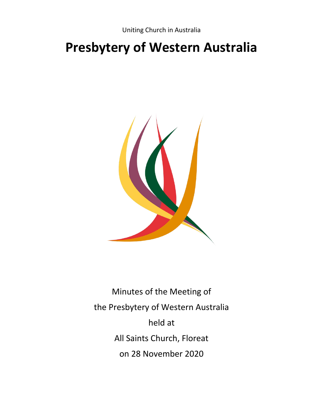# **Presbytery of Western Australia**



Minutes of the Meeting of the Presbytery of Western Australia held at All Saints Church, Floreat on 28 November 2020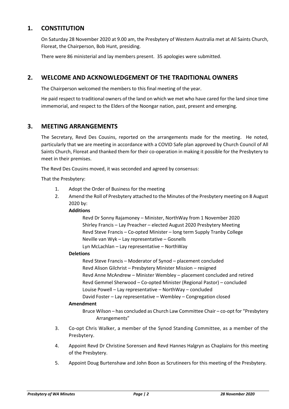## **1. CONSTITUTION**

On Saturday 28 November 2020 at 9.00 am, the Presbytery of Western Australia met at All Saints Church, Floreat, the Chairperson, Bob Hunt, presiding.

There were 86 ministerial and lay members present. 35 apologies were submitted.

# **2. WELCOME AND ACKNOWLEDGEMENT OF THE TRADITIONAL OWNERS**

The Chairperson welcomed the members to this final meeting of the year.

He paid respect to traditional owners of the land on which we met who have cared for the land since time immemorial, and respect to the Elders of the Noongar nation, past, present and emerging.

## **3. MEETING ARRANGEMENTS**

The Secretary, Revd Des Cousins, reported on the arrangements made for the meeting. He noted, particularly that we are meeting in accordance with a COVID Safe plan approved by Church Council of All Saints Church, Floreat and thanked them for their co-operation in making it possible for the Presbytery to meet in their premises.

The Revd Des Cousins moved, it was seconded and agreed by consensus:

That the Presbytery:

- 1. Adopt the Order of Business for the meeting
- 2. Amend the Roll of Presbytery attached to the Minutes of the Presbytery meeting on 8 August 2020 by:

#### **Additions**

Revd Dr Sonny Rajamoney – Minister, NorthWay from 1 November 2020 Shirley Francis – Lay Preacher – elected August 2020 Presbytery Meeting Revd Steve Francis – Co-opted Minister – long term Supply Tranby College Neville van Wyk – Lay representative – Gosnells Lyn McLachlan – Lay representative – NorthWay

#### **Deletions**

Revd Steve Francis – Moderator of Synod – placement concluded Revd Alison Gilchrist – Presbytery Minister Mission – resigned Revd Anne McAndrew – Minister Wembley – placement concluded and retired Revd Gemmel Sherwood – Co-opted Minister (Regional Pastor) – concluded Louise Powell – Lay representative – NorthWay – concluded David Foster – Lay representative – Wembley – Congregation closed

#### **Amendment**

Bruce Wilson – has concluded as Church Law Committee Chair – co-opt for "Presbytery Arrangements"

- 3. Co-opt Chris Walker, a member of the Synod Standing Committee, as a member of the Presbytery.
- 4. Appoint Revd Dr Christine Sorensen and Revd Hannes Halgryn as Chaplains for this meeting of the Presbytery.
- 5. Appoint Doug Burtenshaw and John Boon as Scrutineers for this meeting of the Presbytery.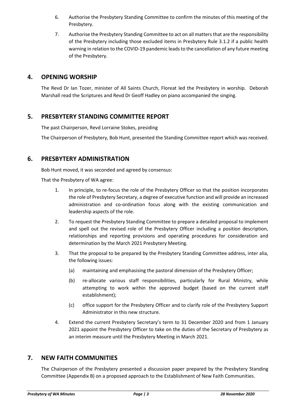- 6. Authorise the Presbytery Standing Committee to confirm the minutes of this meeting of the Presbytery.
- 7. Authorise the Presbytery Standing Committee to act on all matters that are the responsibility of the Presbytery including those excluded items in Presbytery Rule 3.1.2 if a public health warning in relation to the COVID-19 pandemic leads to the cancellation of any future meeting of the Presbytery.

## **4. OPENING WORSHIP**

The Revd Dr Ian Tozer, minister of All Saints Church, Floreat led the Presbytery in worship. Deborah Marshall read the Scriptures and Revd Dr Geoff Hadley on piano accompanied the singing.

# **5. PRESBYTERY STANDING COMMITTEE REPORT**

The past Chairperson, Revd Lorraine Stokes, presiding

The Chairperson of Presbytery, Bob Hunt, presented the Standing Committee report which was received.

# **6. PRESBYTERY ADMINISTRATION**

Bob Hunt moved, it was seconded and agreed by consensus:

That the Presbytery of WA agree:

- 1. In principle, to re-focus the role of the Presbytery Officer so that the position incorporates the role of Presbytery Secretary, a degree of executive function and will provide an increased administration and co-ordination focus along with the existing communication and leadership aspects of the role.
- 2. To request the Presbytery Standing Committee to prepare a detailed proposal to implement and spell out the revised role of the Presbytery Officer including a position description, relationships and reporting provisions and operating procedures for consideration and determination by the March 2021 Presbytery Meeting.
- 3. That the proposal to be prepared by the Presbytery Standing Committee address, inter alia, the following issues:
	- (a) maintaining and emphasising the pastoral dimension of the Presbytery Officer;
	- (b) re-allocate various staff responsibilities, particularly for Rural Ministry, while attempting to work within the approved budget (based on the current staff establishment);
	- (c) office support for the Presbytery Officer and to clarify role of the Presbytery Support Administrator in this new structure.
- 4. Extend the current Presbytery Secretary's term to 31 December 2020 and from 1 January 2021 appoint the Presbytery Officer to take on the duties of the Secretary of Presbytery as an interim measure until the Presbytery Meeting in March 2021.

## **7. NEW FAITH COMMUNITIES**

The Chairperson of the Presbytery presented a discussion paper prepared by the Presbytery Standing Committee (Appendix B) on a proposed approach to the Establishment of New Faith Communities.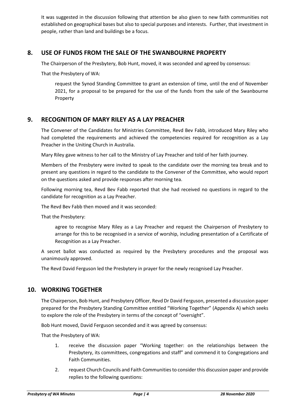It was suggested in the discussion following that attention be also given to new faith communities not established on geographical bases but also to special purposes and interests. Further, that investment in people, rather than land and buildings be a focus.

## **8. USE OF FUNDS FROM THE SALE OF THE SWANBOURNE PROPERTY**

The Chairperson of the Presbytery, Bob Hunt, moved, it was seconded and agreed by consensus:

That the Presbytery of WA:

request the Synod Standing Committee to grant an extension of time, until the end of November 2021, for a proposal to be prepared for the use of the funds from the sale of the Swanbourne Property

## **9. RECOGNITION OF MARY RILEY AS A LAY PREACHER**

The Convener of the Candidates for Ministries Committee, Revd Bev Fabb, introduced Mary Riley who had completed the requirements and achieved the competencies required for recognition as a Lay Preacher in the Uniting Church in Australia.

Mary Riley gave witness to her call to the Ministry of Lay Preacher and told of her faith journey.

Members of the Presbytery were invited to speak to the candidate over the morning tea break and to present any questions in regard to the candidate to the Convener of the Committee, who would report on the questions asked and provide responses after morning tea.

Following morning tea, Revd Bev Fabb reported that she had received no questions in regard to the candidate for recognition as a Lay Preacher.

The Revd Bev Fabb then moved and it was seconded:

That the Presbytery:

agree to recognise Mary Riley as a Lay Preacher and request the Chairperson of Presbytery to arrange for this to be recognised in a service of worship, including presentation of a Certificate of Recognition as a Lay Preacher.

A secret ballot was conducted as required by the Presbytery procedures and the proposal was unanimously approved.

The Revd David Ferguson led the Presbytery in prayer for the newly recognised Lay Preacher.

### **10. WORKING TOGETHER**

The Chairperson, Bob Hunt, and Presbytery Officer, Revd Dr David Ferguson, presented a discussion paper prepared for the Presbytery Standing Committee entitled "Working Together" (Appendix A) which seeks to explore the role of the Presbytery in terms of the concept of "oversight".

Bob Hunt moved, David Ferguson seconded and it was agreed by consensus:

That the Presbytery of WA:

- 1. receive the discussion paper "Working together: on the relationships between the Presbytery, its committees, congregations and staff" and commend it to Congregations and Faith Communities.
- 2. request Church Councils and Faith Communities to consider this discussion paper and provide replies to the following questions: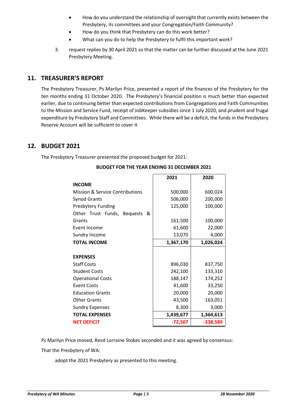- How do you understand the relationship of oversight that currently exists between the Presbytery, its committees and your Congregation/Faith Community?
- How do you think that Presbytery can do this work better?
- What can you do to help the Presbytery to fulfil this important work?
- 3. request replies by 30 April 2021 so that the matter can be further discussed at the June 2021 Presbytery Meeting.

# **11. TREASURER'S REPORT**

The Presbytery Treasurer, Ps Marilyn Price, presented a report of the finances of the Presbytery for the ten months ending 31 October 2020. The Presbytery's financial position is much better than expected earlier, due to continuing better than expected contributions from Congregations and Faith Communities to the Mission and Service Fund, receipt of JobKeeper subsidies since 1 July 2020, and prudent and frugal expenditure by Presbytery Staff and Committees. While there will be a deficit, the funds in the Presbytery Reserve Account will be sufficient to cover it

## **12. BUDGET 2021**

The Presbytery Treasurer presented the proposed budget for 2021:

|                                            | 2021      | 2020       |
|--------------------------------------------|-----------|------------|
| <b>INCOME</b>                              |           |            |
| Mission & Service Contributions            | 500,000   | 600,024    |
| <b>Synod Grants</b>                        | 506,000   | 200,000    |
| <b>Presbytery Funding</b>                  | 125,000   | 100,000    |
| Other Trust Funds,<br><b>Bequests</b><br>& |           |            |
| Grants                                     | 161,500   | 100,000    |
| Event Income                               | 61,600    | 22,000     |
| Sundry Income                              | 13,070    | 4,000      |
| <b>TOTAL INCOME</b>                        | 1,367,170 | 1,026,024  |
|                                            |           |            |
| <b>EXPENSES</b>                            |           |            |
| <b>Staff Costs</b>                         | 896,030   | 837,750    |
| <b>Student Costs</b>                       | 242,100   | 133,310    |
| <b>Operational Costs</b>                   | 188,147   | 174,252    |
| <b>Event Costs</b>                         | 41,600    | 33,250     |
| <b>Education Grants</b>                    | 20,000    | 20,000     |
| <b>Other Grants</b>                        | 43,500    | 163,051    |
| <b>Sundry Expenses</b>                     | 8,300     | 3,000      |
| <b>TOTAL EXPENSES</b>                      | 1,439,677 | 1,364,613  |
| <b>NET DEFICIT</b>                         | $-72,507$ | $-338,589$ |

#### **BUDGET FOR THE YEAR ENDING 31 DECEMBER 2021**

Ps Marilyn Price moved, Revd Lorraine Stokes seconded and it was agreed by consensus:

That the Presbytery of WA:

adopt the 2021 Presbytery as presented to this meeting.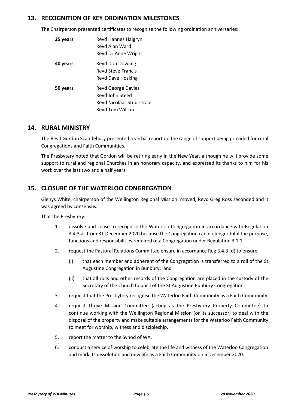## **13. RECOGNITION OF KEY ORDINATION MILESTONES**

The Chairperson presented certificates to recognise the following ordination anniversaries:

| 25 years | Revd Hannes Halgryn<br>Revd Alan Ward<br>Revd Dr Anne Wright                          |
|----------|---------------------------------------------------------------------------------------|
| 40 years | Revd Don Dowling<br><b>Revd Steve Francis</b><br>Revd Dave Hosking                    |
| 50 years | Revd George Davies<br>Revd John Steed<br>Revd Nicolaas Stuurstraat<br>Revd Tom Wilson |

## **14. RURAL MINISTRY**

The Revd Gordon Scantlebury presented a verbal report on the range of support being provided for rural Congregations and Faith Communities.

The Presbytery noted that Gordon will be retiring early in the New Year, although he will provide some support to rural and regional Churches in an honorary capacity, and expressed its thanks to him for his work over the last two and a half years.

# **15. CLOSURE OF THE WATERLOO CONGREGATION**

Glenys White, chairperson of the Wellington Regional Mission, moved, Revd Greg Ross seconded and it was agreed by consensus:

That the Presbytery:

- 1. dissolve and cease to recognise the Waterloo Congregation in accordance with Regulation 3.4.3 as from 31 December 2020 because the Congregation can no longer fulfil the purpose, functions and responsibilities required of a Congregation under Regulation 3.1.1.
- 2. request the Pastoral Relations Committee ensure in accordance Reg 3.4.3 (d) to ensure
	- (i) that each member and adherent of the Congregation is transferred to a roll of the St Augustine Congregation in Bunbury; and
	- (ii) that all rolls and other records of the Congregation are placed in the custody of the Secretary of the Church Council of the St Augustine Bunbury Congregation.
- 3. request that the Presbytery recognise the Waterloo Faith Community as a Faith Community
- 4. request Thrive Mission Committee (acting as the Presbytery Property Committee) to continue working with the Wellington Regional Mission (or its successor) to deal with the disposal of the property and make suitable arrangements for the Waterloo Faith Community to meet for worship, witness and discipleship.
- 5. report the matter to the Synod of WA.
- 6. conduct a service of worship to celebrate the life and witness of the Waterloo Congregation and mark its dissolution and new life as a Faith Community on 6 December 2020.